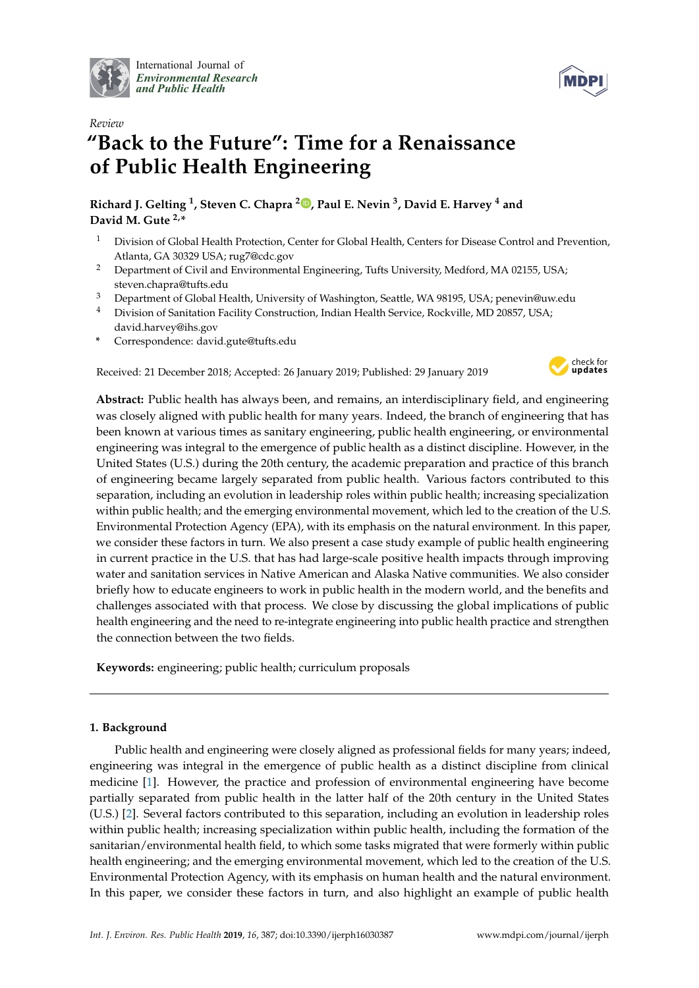

International Journal of *[Environmental Research](http://www.mdpi.com/journal/ijerph) and Public Health*



# *Review* **"Back to the Future": Time for a Renaissance of Public Health Engineering**

**Richard J. Gelting <sup>1</sup> , Steven C. Chapra <sup>2</sup> [,](https://orcid.org/0000-0003-0238-6376) Paul E. Nevin <sup>3</sup> , David E. Harvey <sup>4</sup> and David M. Gute 2,\***

- <sup>1</sup> Division of Global Health Protection, Center for Global Health, Centers for Disease Control and Prevention, Atlanta, GA 30329 USA; rug7@cdc.gov
- <sup>2</sup> Department of Civil and Environmental Engineering, Tufts University, Medford, MA 02155, USA; steven.chapra@tufts.edu
- <sup>3</sup> Department of Global Health, University of Washington, Seattle, WA 98195, USA; penevin@uw.edu
- <sup>4</sup> Division of Sanitation Facility Construction, Indian Health Service, Rockville, MD 20857, USA; david.harvey@ihs.gov
- **\*** Correspondence: david.gute@tufts.edu

Received: 21 December 2018; Accepted: 26 January 2019; Published: 29 January 2019



**Abstract:** Public health has always been, and remains, an interdisciplinary field, and engineering was closely aligned with public health for many years. Indeed, the branch of engineering that has been known at various times as sanitary engineering, public health engineering, or environmental engineering was integral to the emergence of public health as a distinct discipline. However, in the United States (U.S.) during the 20th century, the academic preparation and practice of this branch of engineering became largely separated from public health. Various factors contributed to this separation, including an evolution in leadership roles within public health; increasing specialization within public health; and the emerging environmental movement, which led to the creation of the U.S. Environmental Protection Agency (EPA), with its emphasis on the natural environment. In this paper, we consider these factors in turn. We also present a case study example of public health engineering in current practice in the U.S. that has had large-scale positive health impacts through improving water and sanitation services in Native American and Alaska Native communities. We also consider briefly how to educate engineers to work in public health in the modern world, and the benefits and challenges associated with that process. We close by discussing the global implications of public health engineering and the need to re-integrate engineering into public health practice and strengthen the connection between the two fields.

**Keywords:** engineering; public health; curriculum proposals

## **1. Background**

Public health and engineering were closely aligned as professional fields for many years; indeed, engineering was integral in the emergence of public health as a distinct discipline from clinical medicine [\[1\]](#page-6-0). However, the practice and profession of environmental engineering have become partially separated from public health in the latter half of the 20th century in the United States (U.S.) [\[2\]](#page-6-1). Several factors contributed to this separation, including an evolution in leadership roles within public health; increasing specialization within public health, including the formation of the sanitarian/environmental health field, to which some tasks migrated that were formerly within public health engineering; and the emerging environmental movement, which led to the creation of the U.S. Environmental Protection Agency, with its emphasis on human health and the natural environment. In this paper, we consider these factors in turn, and also highlight an example of public health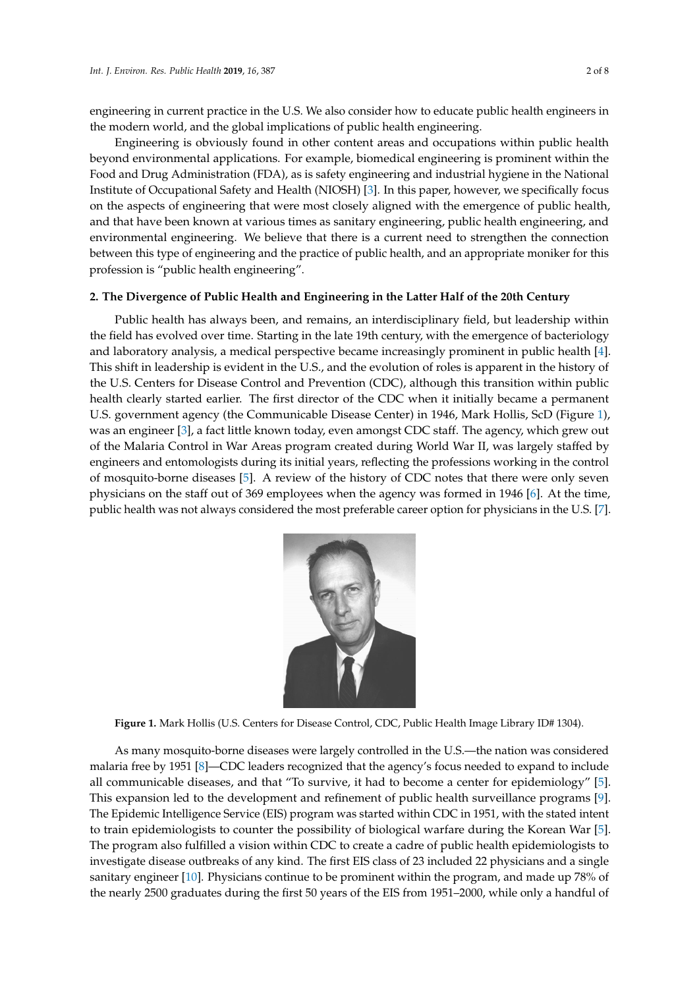engineering in current practice in the U.S. We also consider how to educate public health engineers in the modern world, and the global implications of public health engineering.

Engineering is obviously found in other content areas and occupations within public health beyond environmental applications. For example, biomedical engineering is prominent within the Food and Drug Administration (FDA), as is safety engineering and industrial hygiene in the National Institute of Occupational Safety and Health (NIOSH) [3]. In this paper, however, we specifically focus on the aspects of engineering that were most closely aligned with the emergence of public health, and that have been known at various times as sanitary engineering, public health engineering, and environmental engineering. We believe that there is a current need to strengthen the connection environmental engineering. We believe that there is a current need to strengthen the connection<br>between this type of engineering and the practice of public health, and an appropriate moniker for this profession is "public health engineering". Engineering is obviously found in other content areas and occupations within public health<br>beyond environmental applications. For example, biomedical engineering is prominent within the<br>Food and Drug Administration (FDA),

#### **2. The Divergence of Public Health and Engineering in the Latter Half of the 20th Century**  $\mathbf{P}$  always been, and remains, and remains, and remains, and  $\mathbf{P}$

Public health has always been, and remains, an interdisciplinary field, but leadership within the field has evolved over time. Starting in the late 19th century, with the emergence of bacteriology and laboratory analysis, a medical perspective became increasingly prominent in public health [\[4\]](#page-6-3). This shift in leadership is evident in the U.S., and the evolution of roles is apparent in the history of the U.S. Centers for Disease Control and Prevention (CDC), although this transition within public health clearly started earlier. The first director of the CDC when it initially became a permanent U.S. government agency ([the](#page-1-0) Communicable Disease Center) in 1946, Mark Hollis, ScD (Figure 1), was an engineer [\[3\]](#page-6-2), a fact little known today, even amongst CDC staff. The agency, which grew out of the Malaria Control in War Areas program created during World War II, was largely staffed by engineers and entomologists during its initial years, reflecting the professions working in the control of mosquito-borne diseases [\[5\]](#page-6-4). A review of the history of CDC notes that there were only seven physicians on the staff out of 369 employees when the agency was formed in 1946 [\[6\]](#page-6-5). At the time, public health was not always considered the most preferable career option for physicians in the U.S. [\[7\]](#page-6-6). [7].

<span id="page-1-0"></span>

**Figure 1.** Mark Hollis (U.S. Centers for Disease Control, CDC, Public Health Image Library ID# 1304). **Figure 1.** Mark Hollis (U.S. Centers for Disease Control, CDC, Public Health Image Library ID# 1304).

As many mosquito-borne diseases were largely controlled in the U.S.—the nation was As many mosquito-borne diseases were largely controlled in the U.S.—the nation was considered malaria free by 1951 [\[8\]](#page-6-7)—CDC leaders recognized that the agency's focus needed to expand to include all communicable diseases, and that "To survive, it had to become a center for epidemiology" [\[5\]](#page-6-4). This expansion led to the development and refinement of public health surveillance programs [\[9\]](#page-6-8). The Epidemic Intelligence Service (EIS) program was started within CDC in 1951, with the stated intent to train epidemiologists to counter the possibility of biological warfare during the Korean War [\[5\]](#page-6-4). The program also fulfilled a vision within CDC to create a cadre of public health epidemiologists to investigate disease outbreaks of any kind. The first EIS class of 23 included 22 physicians and a single sanitary engineer [\[10\]](#page-6-9). Physicians continue to be prominent within the program, and made up 78% of the nearly 2500 graduates during the first 50 years of the EIS from 1951–2000, while only a handful of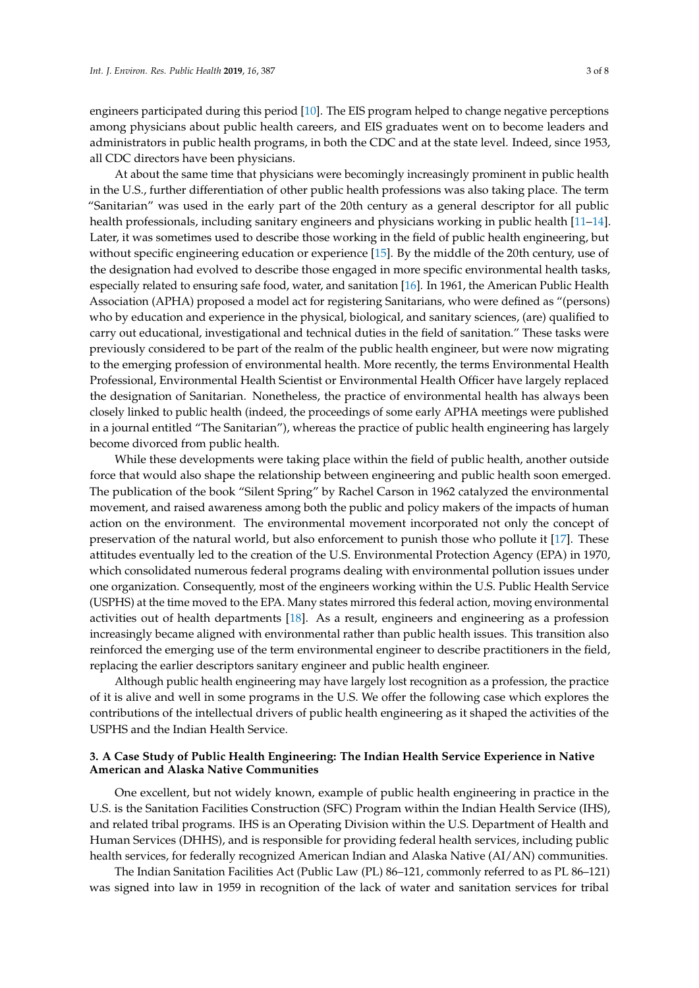engineers participated during this period [\[10\]](#page-6-9). The EIS program helped to change negative perceptions among physicians about public health careers, and EIS graduates went on to become leaders and administrators in public health programs, in both the CDC and at the state level. Indeed, since 1953, all CDC directors have been physicians.

At about the same time that physicians were becomingly increasingly prominent in public health in the U.S., further differentiation of other public health professions was also taking place. The term "Sanitarian" was used in the early part of the 20th century as a general descriptor for all public health professionals, including sanitary engineers and physicians working in public health [\[11–](#page-6-10)[14\]](#page-6-11). Later, it was sometimes used to describe those working in the field of public health engineering, but without specific engineering education or experience [\[15\]](#page-6-12). By the middle of the 20th century, use of the designation had evolved to describe those engaged in more specific environmental health tasks, especially related to ensuring safe food, water, and sanitation [\[16\]](#page-6-13). In 1961, the American Public Health Association (APHA) proposed a model act for registering Sanitarians, who were defined as "(persons) who by education and experience in the physical, biological, and sanitary sciences, (are) qualified to carry out educational, investigational and technical duties in the field of sanitation." These tasks were previously considered to be part of the realm of the public health engineer, but were now migrating to the emerging profession of environmental health. More recently, the terms Environmental Health Professional, Environmental Health Scientist or Environmental Health Officer have largely replaced the designation of Sanitarian. Nonetheless, the practice of environmental health has always been closely linked to public health (indeed, the proceedings of some early APHA meetings were published in a journal entitled "The Sanitarian"), whereas the practice of public health engineering has largely become divorced from public health.

While these developments were taking place within the field of public health, another outside force that would also shape the relationship between engineering and public health soon emerged. The publication of the book "Silent Spring" by Rachel Carson in 1962 catalyzed the environmental movement, and raised awareness among both the public and policy makers of the impacts of human action on the environment. The environmental movement incorporated not only the concept of preservation of the natural world, but also enforcement to punish those who pollute it [\[17\]](#page-6-14). These attitudes eventually led to the creation of the U.S. Environmental Protection Agency (EPA) in 1970, which consolidated numerous federal programs dealing with environmental pollution issues under one organization. Consequently, most of the engineers working within the U.S. Public Health Service (USPHS) at the time moved to the EPA. Many states mirrored this federal action, moving environmental activities out of health departments [\[18\]](#page-6-15). As a result, engineers and engineering as a profession increasingly became aligned with environmental rather than public health issues. This transition also reinforced the emerging use of the term environmental engineer to describe practitioners in the field, replacing the earlier descriptors sanitary engineer and public health engineer.

Although public health engineering may have largely lost recognition as a profession, the practice of it is alive and well in some programs in the U.S. We offer the following case which explores the contributions of the intellectual drivers of public health engineering as it shaped the activities of the USPHS and the Indian Health Service.

### **3. A Case Study of Public Health Engineering: The Indian Health Service Experience in Native American and Alaska Native Communities**

One excellent, but not widely known, example of public health engineering in practice in the U.S. is the Sanitation Facilities Construction (SFC) Program within the Indian Health Service (IHS), and related tribal programs. IHS is an Operating Division within the U.S. Department of Health and Human Services (DHHS), and is responsible for providing federal health services, including public health services, for federally recognized American Indian and Alaska Native (AI/AN) communities.

The Indian Sanitation Facilities Act (Public Law (PL) 86–121, commonly referred to as PL 86–121) was signed into law in 1959 in recognition of the lack of water and sanitation services for tribal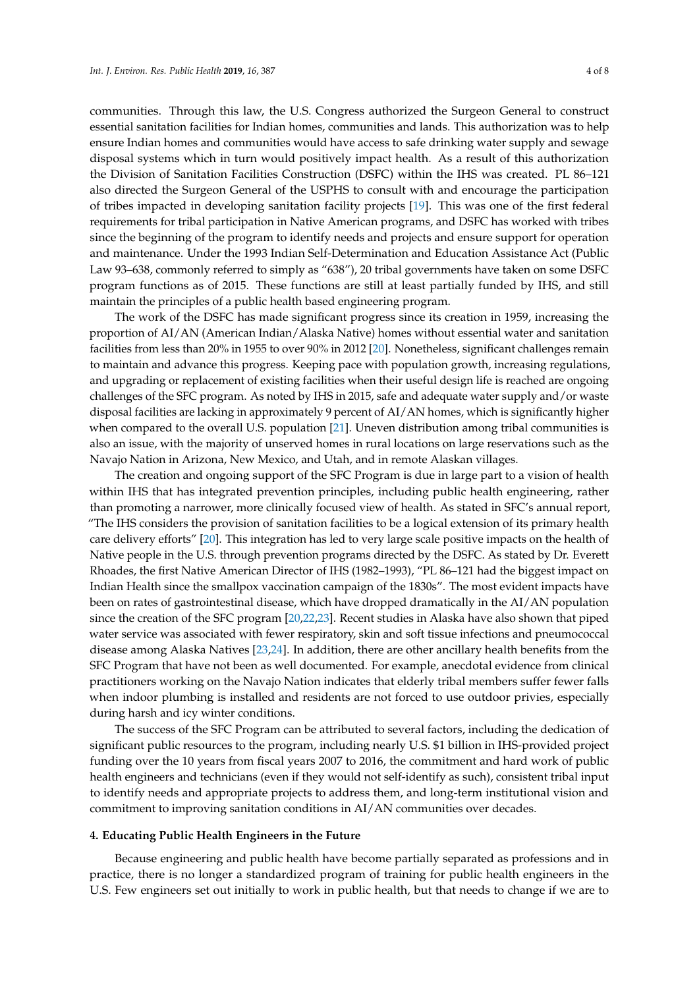communities. Through this law, the U.S. Congress authorized the Surgeon General to construct essential sanitation facilities for Indian homes, communities and lands. This authorization was to help ensure Indian homes and communities would have access to safe drinking water supply and sewage disposal systems which in turn would positively impact health. As a result of this authorization the Division of Sanitation Facilities Construction (DSFC) within the IHS was created. PL 86–121 also directed the Surgeon General of the USPHS to consult with and encourage the participation of tribes impacted in developing sanitation facility projects [\[19\]](#page-6-16). This was one of the first federal requirements for tribal participation in Native American programs, and DSFC has worked with tribes since the beginning of the program to identify needs and projects and ensure support for operation and maintenance. Under the 1993 Indian Self-Determination and Education Assistance Act (Public Law 93–638, commonly referred to simply as "638"), 20 tribal governments have taken on some DSFC program functions as of 2015. These functions are still at least partially funded by IHS, and still maintain the principles of a public health based engineering program.

The work of the DSFC has made significant progress since its creation in 1959, increasing the proportion of AI/AN (American Indian/Alaska Native) homes without essential water and sanitation facilities from less than 20% in 1955 to over 90% in 2012 [\[20\]](#page-6-17). Nonetheless, significant challenges remain to maintain and advance this progress. Keeping pace with population growth, increasing regulations, and upgrading or replacement of existing facilities when their useful design life is reached are ongoing challenges of the SFC program. As noted by IHS in 2015, safe and adequate water supply and/or waste disposal facilities are lacking in approximately 9 percent of AI/AN homes, which is significantly higher when compared to the overall U.S. population [\[21\]](#page-6-18). Uneven distribution among tribal communities is also an issue, with the majority of unserved homes in rural locations on large reservations such as the Navajo Nation in Arizona, New Mexico, and Utah, and in remote Alaskan villages.

The creation and ongoing support of the SFC Program is due in large part to a vision of health within IHS that has integrated prevention principles, including public health engineering, rather than promoting a narrower, more clinically focused view of health. As stated in SFC's annual report, "The IHS considers the provision of sanitation facilities to be a logical extension of its primary health care delivery efforts" [\[20\]](#page-6-17). This integration has led to very large scale positive impacts on the health of Native people in the U.S. through prevention programs directed by the DSFC. As stated by Dr. Everett Rhoades, the first Native American Director of IHS (1982–1993), "PL 86–121 had the biggest impact on Indian Health since the smallpox vaccination campaign of the 1830s". The most evident impacts have been on rates of gastrointestinal disease, which have dropped dramatically in the AI/AN population since the creation of the SFC program [\[20](#page-6-17)[,22,](#page-7-0)[23\]](#page-7-1). Recent studies in Alaska have also shown that piped water service was associated with fewer respiratory, skin and soft tissue infections and pneumococcal disease among Alaska Natives [\[23](#page-7-1)[,24\]](#page-7-2). In addition, there are other ancillary health benefits from the SFC Program that have not been as well documented. For example, anecdotal evidence from clinical practitioners working on the Navajo Nation indicates that elderly tribal members suffer fewer falls when indoor plumbing is installed and residents are not forced to use outdoor privies, especially during harsh and icy winter conditions.

The success of the SFC Program can be attributed to several factors, including the dedication of significant public resources to the program, including nearly U.S. \$1 billion in IHS-provided project funding over the 10 years from fiscal years 2007 to 2016, the commitment and hard work of public health engineers and technicians (even if they would not self-identify as such), consistent tribal input to identify needs and appropriate projects to address them, and long-term institutional vision and commitment to improving sanitation conditions in AI/AN communities over decades.

#### **4. Educating Public Health Engineers in the Future**

Because engineering and public health have become partially separated as professions and in practice, there is no longer a standardized program of training for public health engineers in the U.S. Few engineers set out initially to work in public health, but that needs to change if we are to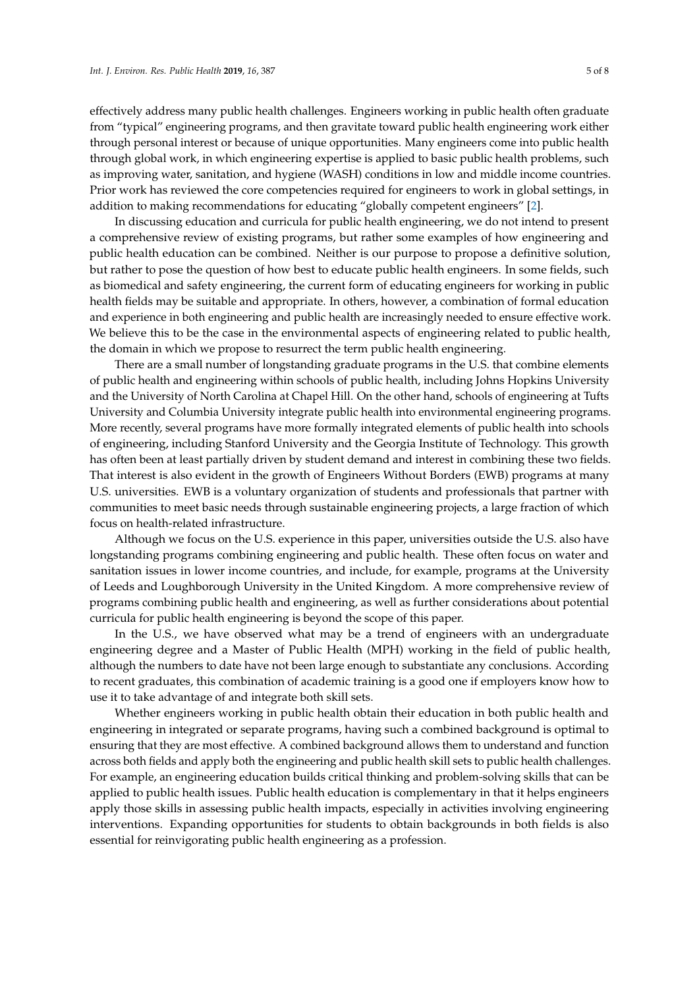effectively address many public health challenges. Engineers working in public health often graduate from "typical" engineering programs, and then gravitate toward public health engineering work either through personal interest or because of unique opportunities. Many engineers come into public health through global work, in which engineering expertise is applied to basic public health problems, such as improving water, sanitation, and hygiene (WASH) conditions in low and middle income countries. Prior work has reviewed the core competencies required for engineers to work in global settings, in addition to making recommendations for educating "globally competent engineers" [\[2\]](#page-6-1).

In discussing education and curricula for public health engineering, we do not intend to present a comprehensive review of existing programs, but rather some examples of how engineering and public health education can be combined. Neither is our purpose to propose a definitive solution, but rather to pose the question of how best to educate public health engineers. In some fields, such as biomedical and safety engineering, the current form of educating engineers for working in public health fields may be suitable and appropriate. In others, however, a combination of formal education and experience in both engineering and public health are increasingly needed to ensure effective work. We believe this to be the case in the environmental aspects of engineering related to public health, the domain in which we propose to resurrect the term public health engineering.

There are a small number of longstanding graduate programs in the U.S. that combine elements of public health and engineering within schools of public health, including Johns Hopkins University and the University of North Carolina at Chapel Hill. On the other hand, schools of engineering at Tufts University and Columbia University integrate public health into environmental engineering programs. More recently, several programs have more formally integrated elements of public health into schools of engineering, including Stanford University and the Georgia Institute of Technology. This growth has often been at least partially driven by student demand and interest in combining these two fields. That interest is also evident in the growth of Engineers Without Borders (EWB) programs at many U.S. universities. EWB is a voluntary organization of students and professionals that partner with communities to meet basic needs through sustainable engineering projects, a large fraction of which focus on health-related infrastructure.

Although we focus on the U.S. experience in this paper, universities outside the U.S. also have longstanding programs combining engineering and public health. These often focus on water and sanitation issues in lower income countries, and include, for example, programs at the University of Leeds and Loughborough University in the United Kingdom. A more comprehensive review of programs combining public health and engineering, as well as further considerations about potential curricula for public health engineering is beyond the scope of this paper.

In the U.S., we have observed what may be a trend of engineers with an undergraduate engineering degree and a Master of Public Health (MPH) working in the field of public health, although the numbers to date have not been large enough to substantiate any conclusions. According to recent graduates, this combination of academic training is a good one if employers know how to use it to take advantage of and integrate both skill sets.

Whether engineers working in public health obtain their education in both public health and engineering in integrated or separate programs, having such a combined background is optimal to ensuring that they are most effective. A combined background allows them to understand and function across both fields and apply both the engineering and public health skill sets to public health challenges. For example, an engineering education builds critical thinking and problem-solving skills that can be applied to public health issues. Public health education is complementary in that it helps engineers apply those skills in assessing public health impacts, especially in activities involving engineering interventions. Expanding opportunities for students to obtain backgrounds in both fields is also essential for reinvigorating public health engineering as a profession.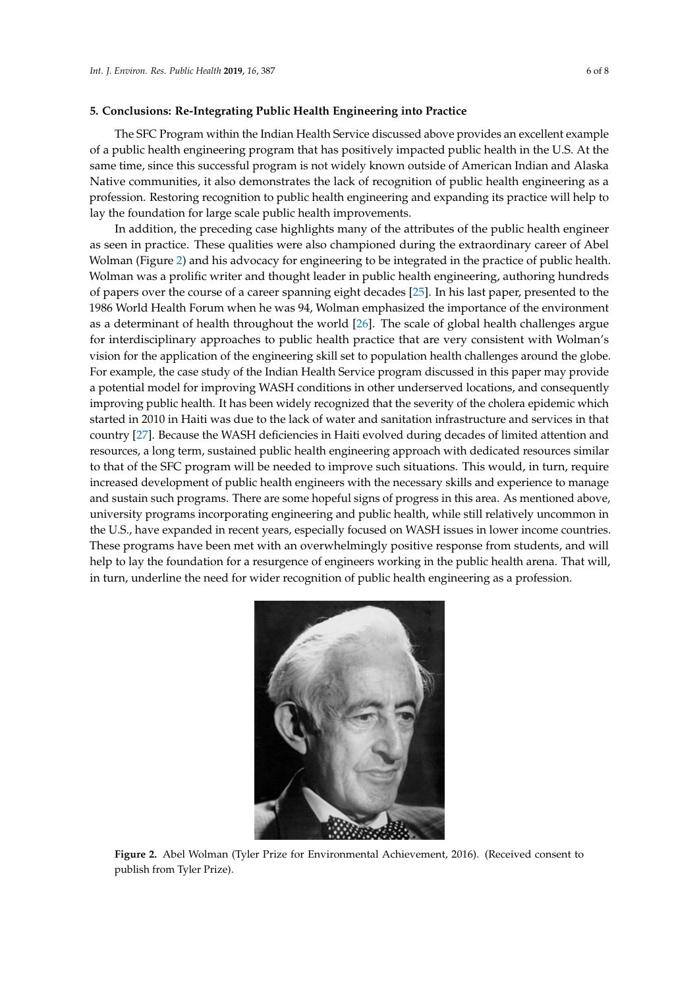#### **5. Conclusions: Re-Integrating Public Health Engineering into Practice**

The SFC Program within the Indian Health Service discussed above provides an excellent example of a public health engineering program that has positively impacted public health in the U.S. At the same time, since this successful program is not widely known outside of American Indian and Alaska Native communities, it also demonstrates the lack of recognition of public health engineering as a profession. Restoring recognition to public health engineering and expanding its practice will help to lay the foundation for large scale public health improvements.

In addition, the preceding case highlights many of the attributes of the public health engineer as seen in practice. These qualities were also championed during the extraordinary career of Abel Wolman (Figure 2) and his advocacy for engineering to be integrated in the practice of public health.  $\,$ Wolman was a prolific writer and thought leader in public health engineering, authoring hundreds of papers over the course of a career spanning eight decades [\[25\]](#page-7-3). In his last paper, presented to the 1986 World Health Forum when he was 94, Wolman emphasized the importance of the environment as a determinant of health throughout the world  $[26]$ . The scale of global health challenges argue for interdisciplinary approaches to public health practice that are very consistent with Wolman's vision for the application of the engineering skill set to population health challenges around the globe. For example, the case study of the Indian Health Service program discussed in this paper may provide a potential model for improving WASH conditions in other underserved locations, and consequently improving public health. It has been widely recognized that the severity of the cholera epidemic which started in 2010 in Haiti was due to the lack of water and sanitation infrastructure and services in that country [\[27\]](#page-7-5). Because the WASH deficiencies in Haiti evolved during decades of limited attention and resources, a long term, sustained public health engineering approach with dedicated resources similar to that of the SFC program will be needed to improve such situations. This would, in turn, require increased development of public health engineers with the necessary skills and experience to manage and sustain such programs. There are some hopeful signs of progress in this area. As mentioned above, university programs incorporating engineering and public health, while still relatively uncommon in the U.S., have expanded in recent years, especially focused on WASH issues in lower income countries. These programs have been met with an overwhelmingly positive response from students, and will help to lay the foundation for a resurgence of engineers working in the public health arena. That will, in turn, underline the need for wider recognition of public health engineering as a profession.

<span id="page-5-0"></span>

**Figure 2.** Abel Wolman (Tyler Prize for Environmental Achievement, 2016). (Received consent to **Figure 2.** Abel Wolman (Tyler Prize for Environmental Achievement, 2016). (Received consent to publish from Tyler Prize).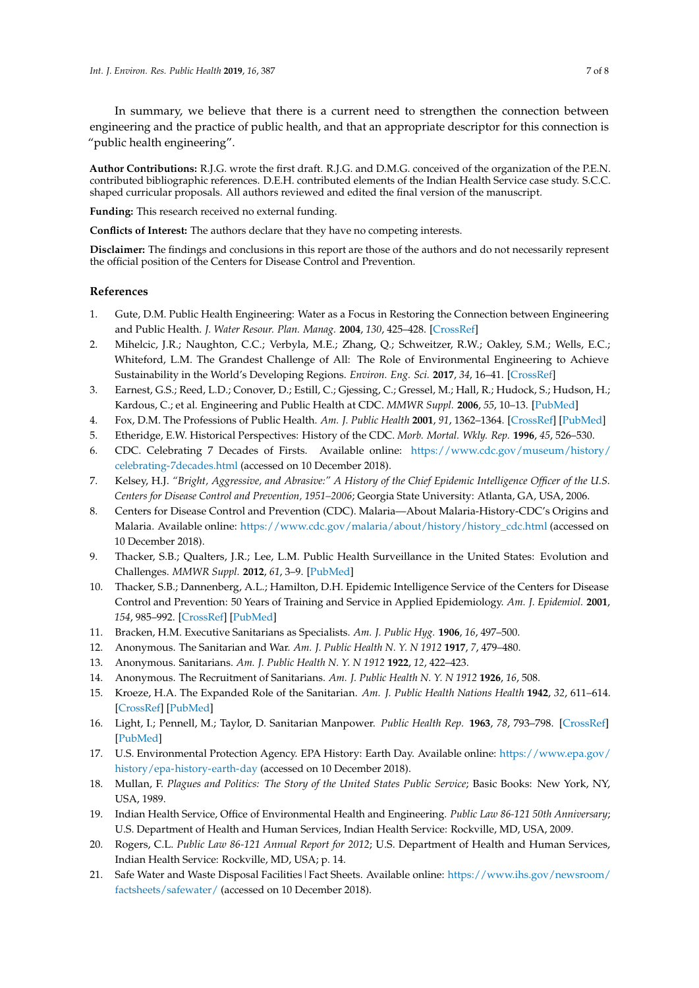In summary, we believe that there is a current need to strengthen the connection between engineering and the practice of public health, and that an appropriate descriptor for this connection is "public health engineering".

**Author Contributions:** R.J.G. wrote the first draft. R.J.G. and D.M.G. conceived of the organization of the P.E.N. contributed bibliographic references. D.E.H. contributed elements of the Indian Health Service case study. S.C.C. shaped curricular proposals. All authors reviewed and edited the final version of the manuscript.

**Funding:** This research received no external funding.

**Conflicts of Interest:** The authors declare that they have no competing interests.

**Disclaimer:** The findings and conclusions in this report are those of the authors and do not necessarily represent the official position of the Centers for Disease Control and Prevention.

## **References**

- <span id="page-6-0"></span>1. Gute, D.M. Public Health Engineering: Water as a Focus in Restoring the Connection between Engineering and Public Health. *J. Water Resour. Plan. Manag.* **2004**, *130*, 425–428. [\[CrossRef\]](http://dx.doi.org/10.1061/(ASCE)0733-9496(2004)130:6(425))
- <span id="page-6-1"></span>2. Mihelcic, J.R.; Naughton, C.C.; Verbyla, M.E.; Zhang, Q.; Schweitzer, R.W.; Oakley, S.M.; Wells, E.C.; Whiteford, L.M. The Grandest Challenge of All: The Role of Environmental Engineering to Achieve Sustainability in the World's Developing Regions. *Environ. Eng. Sci.* **2017**, *34*, 16–41. [\[CrossRef\]](http://dx.doi.org/10.1089/ees.2015.0334)
- <span id="page-6-2"></span>3. Earnest, G.S.; Reed, L.D.; Conover, D.; Estill, C.; Gjessing, C.; Gressel, M.; Hall, R.; Hudock, S.; Hudson, H.; Kardous, C.; et al. Engineering and Public Health at CDC. *MMWR Suppl.* **2006**, *55*, 10–13. [\[PubMed\]](http://www.ncbi.nlm.nih.gov/pubmed/17183236)
- <span id="page-6-3"></span>4. Fox, D.M. The Professions of Public Health. *Am. J. Public Health* **2001**, *91*, 1362–1364. [\[CrossRef\]](http://dx.doi.org/10.2105/AJPH.91.9.1362) [\[PubMed\]](http://www.ncbi.nlm.nih.gov/pubmed/11527756)
- <span id="page-6-4"></span>5. Etheridge, E.W. Historical Perspectives: History of the CDC. *Morb. Mortal. Wkly. Rep.* **1996**, *45*, 526–530.
- <span id="page-6-5"></span>6. CDC. Celebrating 7 Decades of Firsts. Available online: [https://www.cdc.gov/museum/history/](https://www.cdc.gov/museum/history/celebrating-7decades.html) [celebrating-7decades.html](https://www.cdc.gov/museum/history/celebrating-7decades.html) (accessed on 10 December 2018).
- <span id="page-6-6"></span>7. Kelsey, H.J. *"Bright, Aggressive, and Abrasive:" A History of the Chief Epidemic Intelligence Officer of the U.S. Centers for Disease Control and Prevention, 1951–2006*; Georgia State University: Atlanta, GA, USA, 2006.
- <span id="page-6-7"></span>8. Centers for Disease Control and Prevention (CDC). Malaria—About Malaria-History-CDC's Origins and Malaria. Available online: [https://www.cdc.gov/malaria/about/history/history\\_cdc.html](https://www.cdc.gov/malaria/about/history/history_cdc.html) (accessed on 10 December 2018).
- <span id="page-6-8"></span>9. Thacker, S.B.; Qualters, J.R.; Lee, L.M. Public Health Surveillance in the United States: Evolution and Challenges. *MMWR Suppl.* **2012**, *61*, 3–9. [\[PubMed\]](http://www.ncbi.nlm.nih.gov/pubmed/22832990)
- <span id="page-6-9"></span>10. Thacker, S.B.; Dannenberg, A.L.; Hamilton, D.H. Epidemic Intelligence Service of the Centers for Disease Control and Prevention: 50 Years of Training and Service in Applied Epidemiology. *Am. J. Epidemiol.* **2001**, *154*, 985–992. [\[CrossRef\]](http://dx.doi.org/10.1093/aje/154.11.985) [\[PubMed\]](http://www.ncbi.nlm.nih.gov/pubmed/11724713)
- <span id="page-6-10"></span>11. Bracken, H.M. Executive Sanitarians as Specialists. *Am. J. Public Hyg.* **1906**, *16*, 497–500.
- 12. Anonymous. The Sanitarian and War. *Am. J. Public Health N. Y. N 1912* **1917**, *7*, 479–480.
- 13. Anonymous. Sanitarians. *Am. J. Public Health N. Y. N 1912* **1922**, *12*, 422–423.
- <span id="page-6-11"></span>14. Anonymous. The Recruitment of Sanitarians. *Am. J. Public Health N. Y. N 1912* **1926**, *16*, 508.
- <span id="page-6-12"></span>15. Kroeze, H.A. The Expanded Role of the Sanitarian. *Am. J. Public Health Nations Health* **1942**, *32*, 611–614. [\[CrossRef\]](http://dx.doi.org/10.2105/AJPH.32.6.611) [\[PubMed\]](http://www.ncbi.nlm.nih.gov/pubmed/18015627)
- <span id="page-6-13"></span>16. Light, I.; Pennell, M.; Taylor, D. Sanitarian Manpower. *Public Health Rep.* **1963**, *78*, 793–798. [\[CrossRef\]](http://dx.doi.org/10.2307/4591941) [\[PubMed\]](http://www.ncbi.nlm.nih.gov/pubmed/14047974)
- <span id="page-6-14"></span>17. U.S. Environmental Protection Agency. EPA History: Earth Day. Available online: [https://www.epa.gov/](https://www.epa.gov/history/epa-history-earth-day) [history/epa-history-earth-day](https://www.epa.gov/history/epa-history-earth-day) (accessed on 10 December 2018).
- <span id="page-6-15"></span>18. Mullan, F. *Plagues and Politics: The Story of the United States Public Service*; Basic Books: New York, NY, USA, 1989.
- <span id="page-6-16"></span>19. Indian Health Service, Office of Environmental Health and Engineering. *Public Law 86-121 50th Anniversary*; U.S. Department of Health and Human Services, Indian Health Service: Rockville, MD, USA, 2009.
- <span id="page-6-17"></span>20. Rogers, C.L. *Public Law 86-121 Annual Report for 2012*; U.S. Department of Health and Human Services, Indian Health Service: Rockville, MD, USA; p. 14.
- <span id="page-6-18"></span>21. Safe Water and Waste Disposal Facilities|Fact Sheets. Available online: [https://www.ihs.gov/newsroom/](https://www.ihs.gov/newsroom/factsheets/safewater/) [factsheets/safewater/](https://www.ihs.gov/newsroom/factsheets/safewater/) (accessed on 10 December 2018).